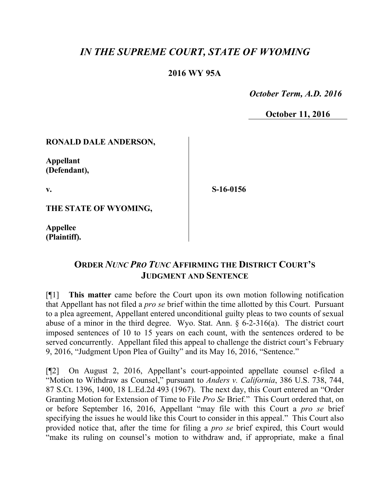# *IN THE SUPREME COURT, STATE OF WYOMING*

### **2016 WY 95A**

 *October Term, A.D. 2016*

**October 11, 2016**

#### **RONALD DALE ANDERSON,**

**Appellant (Defendant),**

**v.**

**S-16-0156**

**THE STATE OF WYOMING,**

**Appellee (Plaintiff).**

## **ORDER** *NUNC PRO TUNC* **AFFIRMING THE DISTRICT COURT'S JUDGMENT AND SENTENCE**

[¶1] **This matter** came before the Court upon its own motion following notification that Appellant has not filed a *pro se* brief within the time allotted by this Court. Pursuant to a plea agreement, Appellant entered unconditional guilty pleas to two counts of sexual abuse of a minor in the third degree. Wyo. Stat. Ann. § 6-2-316(a). The district court imposed sentences of 10 to 15 years on each count, with the sentences ordered to be served concurrently. Appellant filed this appeal to challenge the district court's February 9, 2016, "Judgment Upon Plea of Guilty" and its May 16, 2016, "Sentence."

[¶2] On August 2, 2016, Appellant's court-appointed appellate counsel e-filed a "Motion to Withdraw as Counsel," pursuant to *Anders v. California*, 386 U.S. 738, 744, 87 S.Ct. 1396, 1400, 18 L.Ed.2d 493 (1967). The next day, this Court entered an "Order Granting Motion for Extension of Time to File *Pro Se* Brief." This Court ordered that, on or before September 16, 2016, Appellant "may file with this Court a *pro se* brief specifying the issues he would like this Court to consider in this appeal." This Court also provided notice that, after the time for filing a *pro se* brief expired, this Court would "make its ruling on counsel's motion to withdraw and, if appropriate, make a final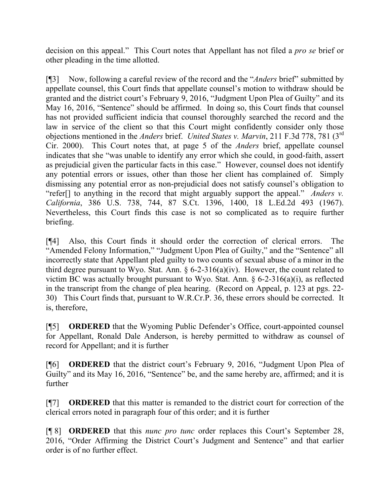decision on this appeal." This Court notes that Appellant has not filed a *pro se* brief or other pleading in the time allotted.

[¶3] Now, following a careful review of the record and the "*Anders* brief" submitted by appellate counsel, this Court finds that appellate counsel's motion to withdraw should be granted and the district court's February 9, 2016, "Judgment Upon Plea of Guilty" and its May 16, 2016, "Sentence" should be affirmed. In doing so, this Court finds that counsel has not provided sufficient indicia that counsel thoroughly searched the record and the law in service of the client so that this Court might confidently consider only those objections mentioned in the *Anders* brief. *United States v. Marvin*, 211 F.3d 778, 781 (3rd Cir. 2000). This Court notes that, at page 5 of the *Anders* brief, appellate counsel indicates that she "was unable to identify any error which she could, in good-faith, assert as prejudicial given the particular facts in this case." However, counsel does not identify any potential errors or issues, other than those her client has complained of. Simply dismissing any potential error as non-prejudicial does not satisfy counsel's obligation to "refer[] to anything in the record that might arguably support the appeal."*Anders v. California*, 386 U.S. 738, 744, 87 S.Ct. 1396, 1400, 18 L.Ed.2d 493 (1967). Nevertheless, this Court finds this case is not so complicated as to require further briefing.

[¶4] Also, this Court finds it should order the correction of clerical errors. The "Amended Felony Information," "Judgment Upon Plea of Guilty," and the "Sentence" all incorrectly state that Appellant pled guilty to two counts of sexual abuse of a minor in the third degree pursuant to Wyo. Stat. Ann.  $\S 6$ -2-316(a)(iv). However, the count related to victim BC was actually brought pursuant to Wyo. Stat. Ann.  $\S$  6-2-316(a)(i), as reflected in the transcript from the change of plea hearing. (Record on Appeal, p. 123 at pgs. 22- 30) This Court finds that, pursuant to W.R.Cr.P. 36, these errors should be corrected. It is, therefore,

[¶5] **ORDERED** that the Wyoming Public Defender's Office, court-appointed counsel for Appellant, Ronald Dale Anderson, is hereby permitted to withdraw as counsel of record for Appellant; and it is further

[¶6] **ORDERED** that the district court's February 9, 2016, "Judgment Upon Plea of Guilty" and its May 16, 2016, "Sentence" be, and the same hereby are, affirmed; and it is further

[¶7] **ORDERED** that this matter is remanded to the district court for correction of the clerical errors noted in paragraph four of this order; and it is further

[¶ 8] **ORDERED** that this *nunc pro tunc* order replaces this Court's September 28, 2016, "Order Affirming the District Court's Judgment and Sentence" and that earlier order is of no further effect.